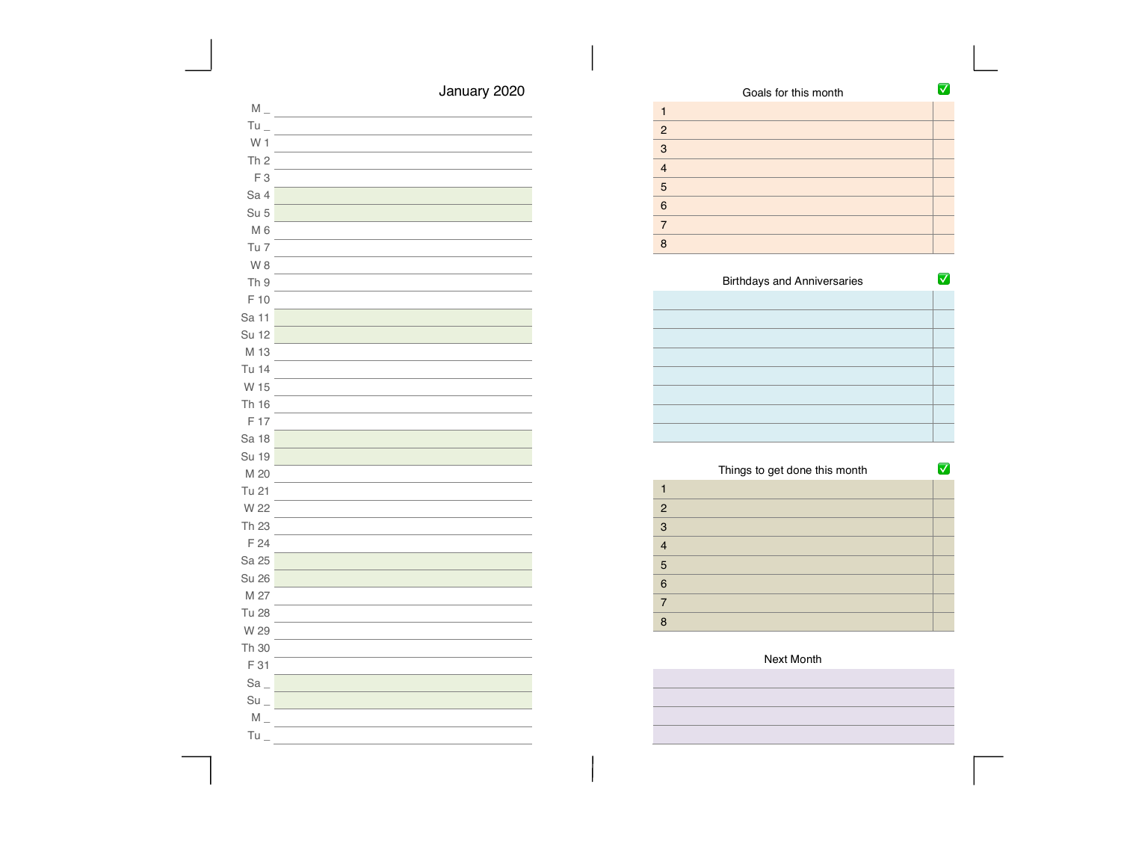| Goals for this month |  |
|----------------------|--|
|                      |  |
| $\overline{2}$       |  |
| 3                    |  |
| $\overline{4}$       |  |
| 5                    |  |
| 6                    |  |
| $\overline{7}$       |  |
| R                    |  |

| <b>Birthdays and Anniversaries</b> |  |
|------------------------------------|--|
|                                    |  |
|                                    |  |
|                                    |  |
|                                    |  |
|                                    |  |
|                                    |  |
|                                    |  |
|                                    |  |

|                | Things to get done this month |  |
|----------------|-------------------------------|--|
|                |                               |  |
| 2              |                               |  |
| 3              |                               |  |
| $\overline{4}$ |                               |  |
| 5              |                               |  |
| 6              |                               |  |
| 7              |                               |  |
| R              |                               |  |

## Next Month

| the control of the control of the control of the control of the control of the control of the control of the control of the control of the control of the control of the control of the control of the control of the control |  |  |
|-------------------------------------------------------------------------------------------------------------------------------------------------------------------------------------------------------------------------------|--|--|
| and the control of the control of the control of the control of the control of the control of the control of the                                                                                                              |  |  |
| the control of the control of the control of the control of the control of the control of                                                                                                                                     |  |  |
| 그 사이에 대한 사이에 대한 사이에 대한 사이에 대한 사이에 대한 사이에 대한 사이에 대한 사이에 대한 사이에 대한 사이에 대한 사이에 대한 사이에 대한 사이에 대한 사이에 대한 사이에 대한 사이에                                                                                                                |  |  |
| the control of the control of the control of the control of the control of the control of the control of the control of the control of the control of the control of the control of the control of the control of the control |  |  |
| the control of the control of the control of the control of the control of the control of the control of the control of the control of the control of the control of the control of the control of the control of the control |  |  |
| the control of the control of the control of the control of the control of the control of the control of the control of the control of the control of the control of the control of the control of the control of the control |  |  |
|                                                                                                                                                                                                                               |  |  |

January 2020

 $\overline{\phantom{0}}$ 

| F 10     |  |
|----------|--|
| Sa 11    |  |
| Su 12    |  |
| M 13     |  |
| Tu 14    |  |
| W 15     |  |
| Th 16    |  |
| F 17     |  |
| Sa 18    |  |
| Su 19    |  |
| M 20     |  |
| Tu 21    |  |
| W 22     |  |
| Th 23    |  |
| F 24     |  |
| Sa 25    |  |
| Su 26    |  |
| M 27     |  |
| Tu 28    |  |
| W 29     |  |
| Th 30    |  |
| F 31     |  |
| $Sa_{-}$ |  |

 $M_{-}$ Tu  $\_$ W 1 Th 2 F 3 Sa 4 Su 5 M 6 Tu 7 W 8 Th 9

- $Su$   $\_$  $\mathsf{M}\rule{0pt}{1.5ex}\hspace{0pt}\mathsf{M}$
- $Tu =$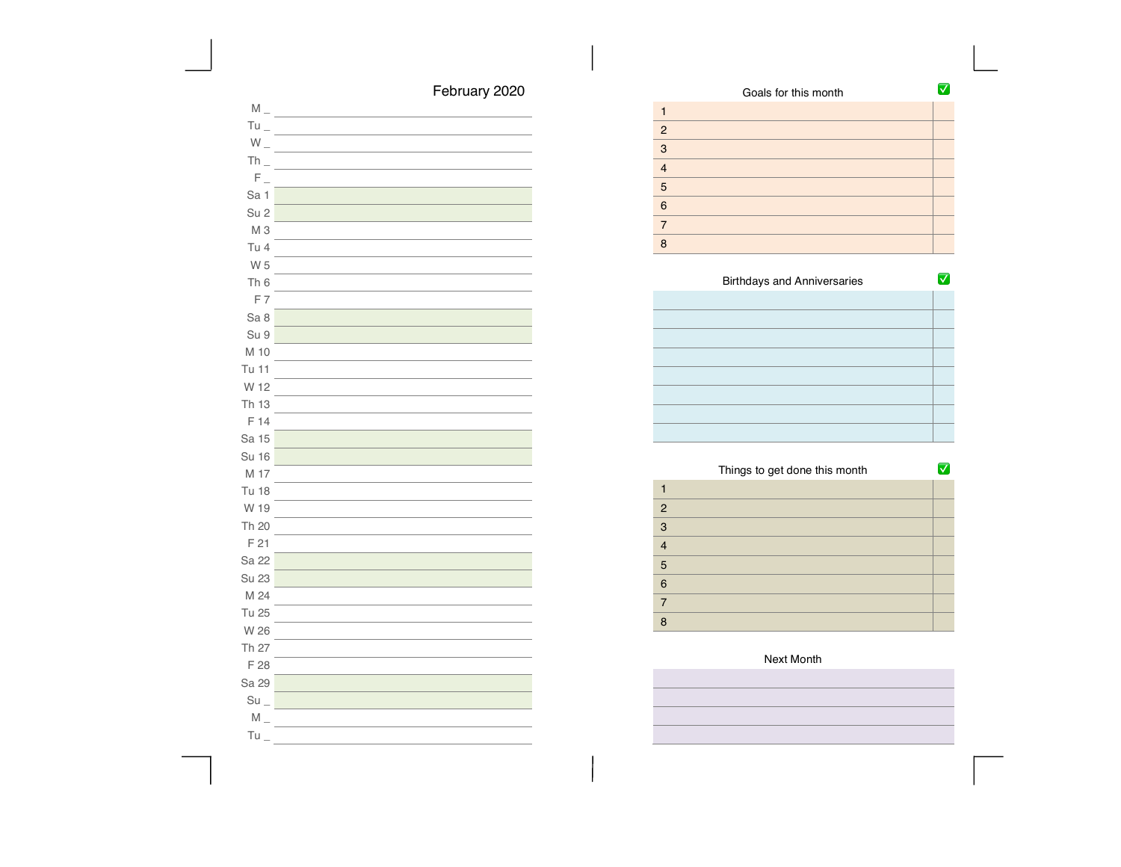| February 2020 |  |
|---------------|--|
|---------------|--|

| $M_{-}$           |  |
|-------------------|--|
| $Tu$ <sub>-</sub> |  |
| $W_{-}$           |  |
| $Th_{-}$          |  |
| $F_{\perp}$       |  |
| Sa 1              |  |
| Su <sub>2</sub>   |  |
| M <sub>3</sub>    |  |
| Tu 4              |  |
| W 5               |  |
| Th <sub>6</sub>   |  |
| F7                |  |
| Sa 8              |  |
| Su 9              |  |
| M 10              |  |
| Tu 11             |  |
| W 12              |  |
| Th 13             |  |
| F 14              |  |
| Sa 15             |  |
| <b>Su 16</b>      |  |
| M 17              |  |
| <b>Tu 18</b>      |  |
| W 19              |  |
| Th 20             |  |
| F 21              |  |
| Sa 22             |  |
| Su 23             |  |
| M 24              |  |
| Tu 25             |  |
| W 26              |  |
| Th 27             |  |
| F 28              |  |
| Sa 29             |  |
| $Su$ <sub>-</sub> |  |
| $M_{-}$           |  |
| Tu                |  |

| Goals for this month |  |
|----------------------|--|
|                      |  |
| $\overline{2}$       |  |
| 3                    |  |
| $\overline{4}$       |  |
| 5                    |  |
| 6                    |  |
| 7                    |  |
| я                    |  |

| <b>Birthdays and Anniversaries</b> |  |
|------------------------------------|--|
|                                    |  |
|                                    |  |
|                                    |  |
|                                    |  |
|                                    |  |
|                                    |  |
|                                    |  |
|                                    |  |

|                | Things to get done this month |  |
|----------------|-------------------------------|--|
|                |                               |  |
| $\overline{2}$ |                               |  |
| 3              |                               |  |
| $\overline{4}$ |                               |  |
| 5              |                               |  |
| 6              |                               |  |
| 7              |                               |  |
| 8              |                               |  |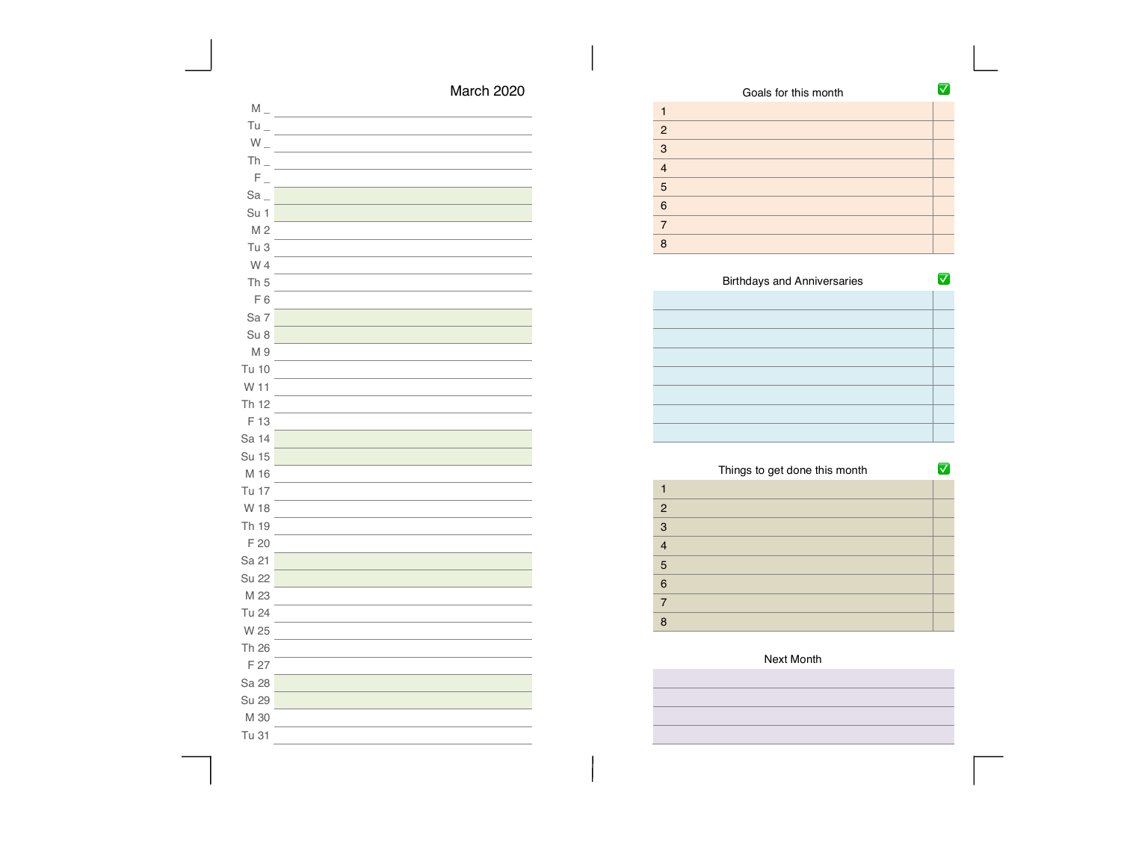| March 2020 |  |
|------------|--|
|------------|--|

| $\mathsf{M}\xspace_\mathsf{--}$ |  |
|---------------------------------|--|
| $Tu_{-}$                        |  |
| $W_{-}$                         |  |
| $Th_$                           |  |
| $F_{\perp}$                     |  |
| $Sa_$                           |  |
| Su 1                            |  |
| M <sub>2</sub>                  |  |
| Tu <sub>3</sub>                 |  |
| W 4                             |  |
| Th <sub>5</sub>                 |  |
| F <sub>6</sub>                  |  |
| Sa 7                            |  |
| Su <sub>8</sub>                 |  |
| M 9                             |  |
| Tu 10                           |  |
| W 11                            |  |
| Th 12                           |  |
| F 13                            |  |
| Sa 14                           |  |
| <b>Su 15</b>                    |  |
| M 16                            |  |
| Tu 17                           |  |
| W 18                            |  |
| Th 19                           |  |
| F 20                            |  |
| Sa 21                           |  |
| <b>Su 22</b>                    |  |
| M 23                            |  |
| Tu 24                           |  |
| W 25                            |  |
| Th 26                           |  |
| F 27                            |  |
| Sa 28                           |  |
| Su 29                           |  |
| M 30                            |  |
| Tu 31                           |  |

|                | Goals for this month |  |
|----------------|----------------------|--|
|                |                      |  |
| $\overline{2}$ |                      |  |
| 3              |                      |  |
| $\overline{4}$ |                      |  |
| 5              |                      |  |
| 6              |                      |  |
| 7              |                      |  |
| 8              |                      |  |

| <b>Birthdays and Anniversaries</b> |  |
|------------------------------------|--|
|                                    |  |
|                                    |  |
|                                    |  |
|                                    |  |
|                                    |  |
|                                    |  |
|                                    |  |
|                                    |  |

| Things to get done this month |  |
|-------------------------------|--|
|                               |  |
| $\overline{2}$                |  |
| 3                             |  |
| $\overline{4}$                |  |
| 5                             |  |
| 6                             |  |
| 7                             |  |
| 8                             |  |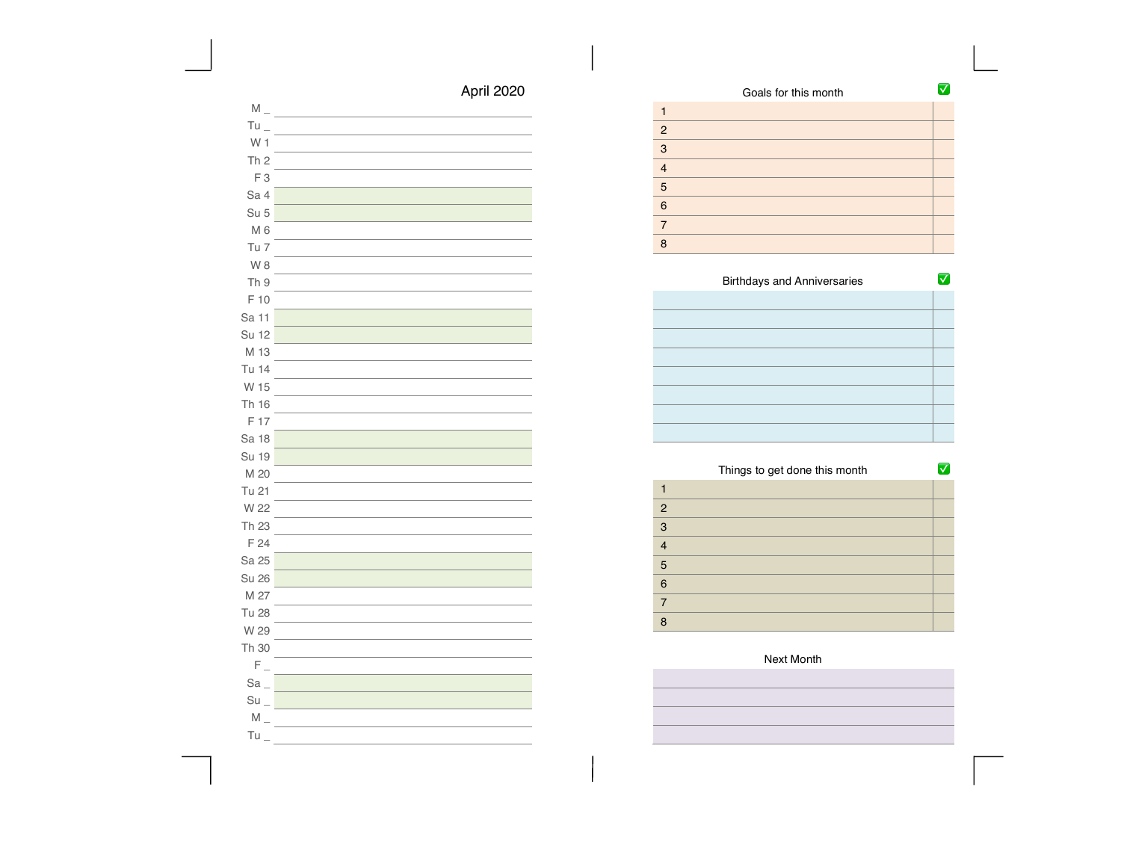| Goals for this month |  |
|----------------------|--|
|                      |  |
| $\overline{2}$       |  |
| 3                    |  |
| $\overline{4}$       |  |
| 5                    |  |
| 6                    |  |
|                      |  |
| R                    |  |

| <b>Birthdays and Anniversaries</b> |  |
|------------------------------------|--|
|                                    |  |
|                                    |  |
|                                    |  |
|                                    |  |
|                                    |  |
|                                    |  |
|                                    |  |
|                                    |  |

|                | Things to get done this month |  |
|----------------|-------------------------------|--|
|                |                               |  |
| $\overline{2}$ |                               |  |
| 3              |                               |  |
| $\overline{4}$ |                               |  |
| 5              |                               |  |
| 6              |                               |  |
| 7              |                               |  |
| 8              |                               |  |

| $Tu =$            |  |
|-------------------|--|
| W <sub>1</sub>    |  |
| Th <sub>2</sub>   |  |
| F <sub>3</sub>    |  |
| Sa 4              |  |
| Su <sub>5</sub>   |  |
| M <sub>6</sub>    |  |
| Tu 7              |  |
| W8                |  |
| Th 9              |  |
| F 10              |  |
| Sa 11             |  |
| Su 12             |  |
| M 13              |  |
| Tu 14             |  |
| W 15              |  |
| Th 16             |  |
| F 17              |  |
| Sa 18             |  |
| Su 19             |  |
| M 20              |  |
| Tu 21             |  |
| W 22              |  |
| Th 23             |  |
| F 24              |  |
| Sa 25             |  |
| <b>Su 26</b>      |  |
| M 27              |  |
| <b>Tu 28</b>      |  |
| W 29              |  |
| Th 30             |  |
| $F_{-}$           |  |
| $Sa_$             |  |
| $Su$ <sub>-</sub> |  |
| $M_{-}$           |  |
| Tu                |  |

 $M_{-}$ 

# April 2020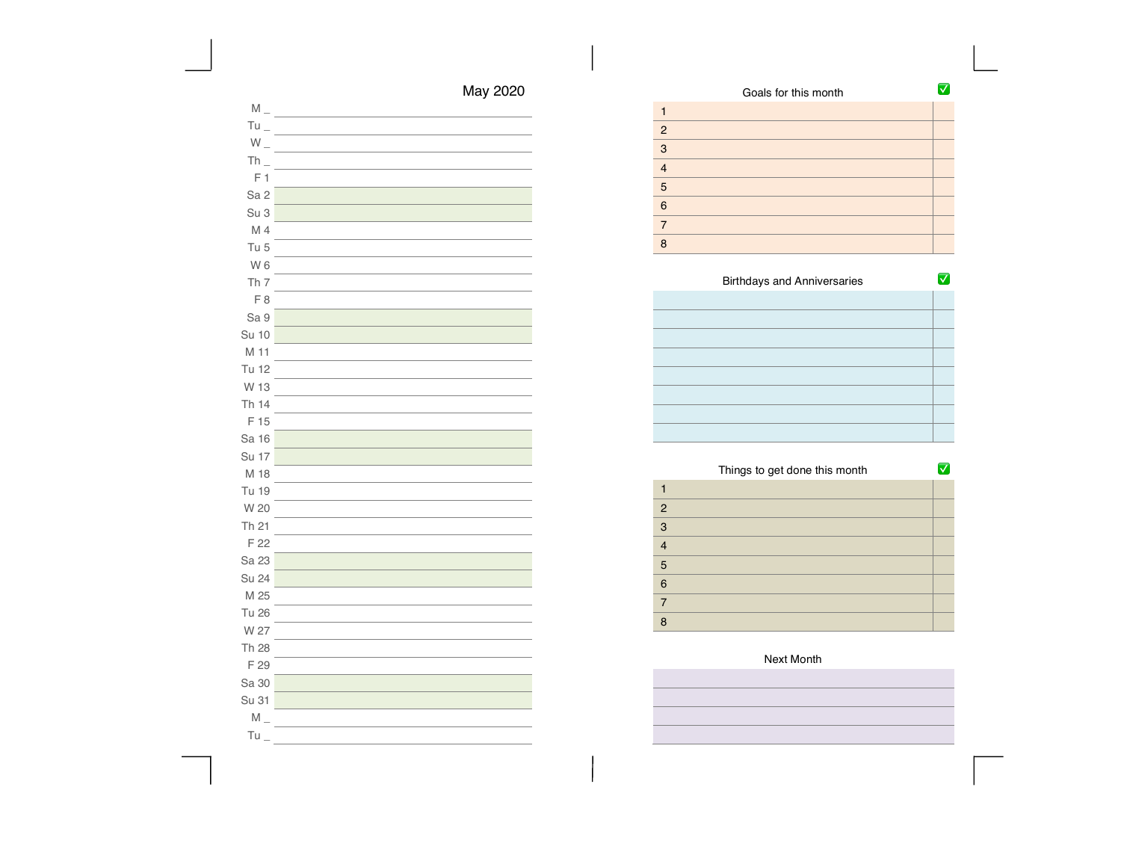| May 2020 |  |
|----------|--|
|----------|--|

| $M_{-}$           |  |
|-------------------|--|
| $Tu$ <sub>-</sub> |  |
| $W_{-}$           |  |
| $Th_$             |  |
| F <sub>1</sub>    |  |
| Sa <sub>2</sub>   |  |
| Su 3              |  |
| M 4               |  |
| Tu 5              |  |
| W <sub>6</sub>    |  |
| Th <sub>7</sub>   |  |
| F 8               |  |
| Sa 9              |  |
| <b>Su 10</b>      |  |
| M 11              |  |
| Tu 12             |  |
| W 13              |  |
| Th 14             |  |
| F 15              |  |
| Sa 16             |  |
| <b>Su 17</b>      |  |
| M 18              |  |
| Tu 19             |  |
| W 20              |  |
| Th 21             |  |
| F 22              |  |
| Sa 23             |  |
| <b>Su 24</b>      |  |
| M 25              |  |
| <b>Tu 26</b>      |  |
| W 27              |  |
| Th 28             |  |
| F 29              |  |
| Sa 30             |  |
| Su 31             |  |
| $M_{-}$           |  |
| $Tu_$             |  |

| Goals for this month |  |
|----------------------|--|
|                      |  |
| $\overline{2}$       |  |
| 3                    |  |
| $\overline{4}$       |  |
| 5                    |  |
| 6                    |  |
| $\overline{7}$       |  |
| 8                    |  |

| <b>Birthdays and Anniversaries</b> |  |
|------------------------------------|--|
|                                    |  |
|                                    |  |
|                                    |  |
|                                    |  |
|                                    |  |
|                                    |  |
|                                    |  |
|                                    |  |

|                | Things to get done this month |  |
|----------------|-------------------------------|--|
|                |                               |  |
| $\overline{2}$ |                               |  |
| 3              |                               |  |
| $\overline{4}$ |                               |  |
| 5              |                               |  |
| 6              |                               |  |
| 7              |                               |  |
| 8              |                               |  |

 $\overline{\phantom{0}}$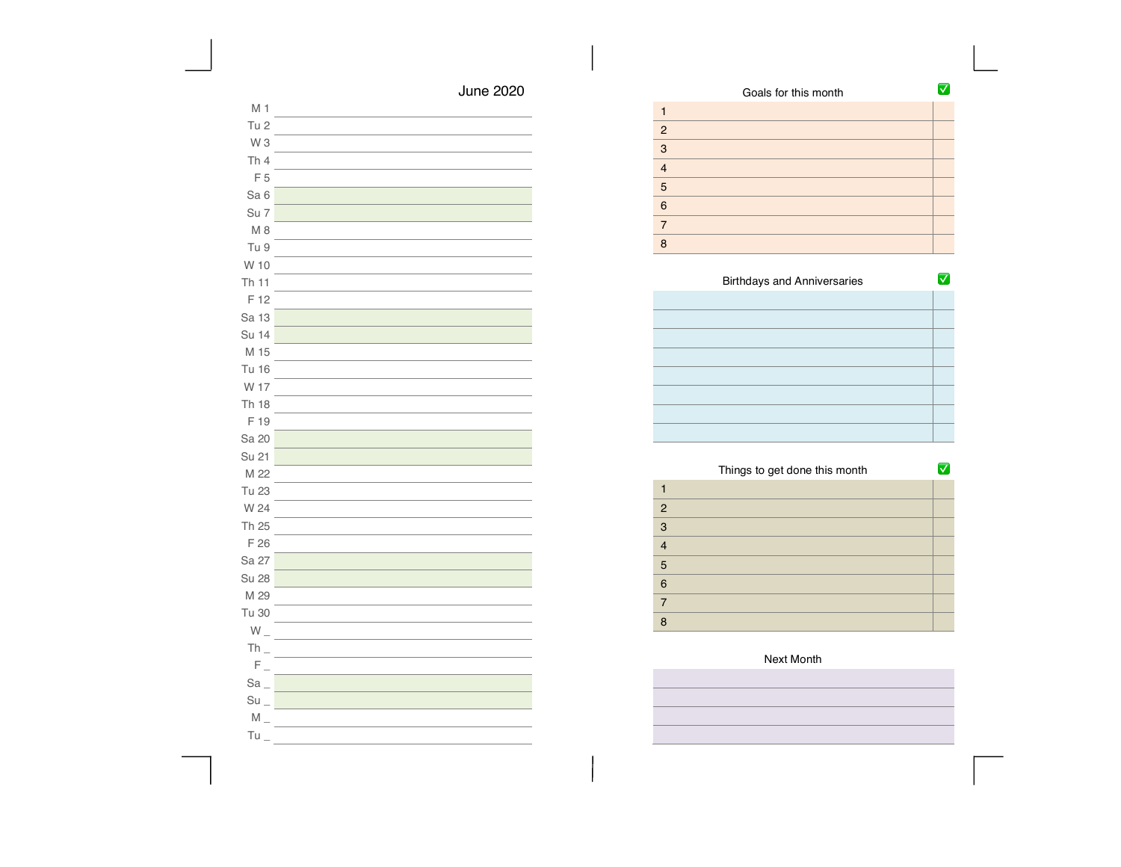| Goals for this month |  |
|----------------------|--|
|                      |  |
| $\overline{2}$       |  |
| 3                    |  |
| $\overline{4}$       |  |
| 5                    |  |
| 6                    |  |
|                      |  |
| R                    |  |

| <b>Birthdays and Anniversaries</b> |  |
|------------------------------------|--|
|                                    |  |
|                                    |  |
|                                    |  |
|                                    |  |
|                                    |  |
|                                    |  |
|                                    |  |
|                                    |  |

|                | Things to get done this month |  |
|----------------|-------------------------------|--|
|                |                               |  |
| 2              |                               |  |
| 3              |                               |  |
| $\overline{4}$ |                               |  |
| 5              |                               |  |
| 6              |                               |  |
| $\overline{7}$ |                               |  |
| R              |                               |  |

| W 10                                                     |  |
|----------------------------------------------------------|--|
| Th 11                                                    |  |
| F 12                                                     |  |
| Sa 13                                                    |  |
| Su 14                                                    |  |
| M 15                                                     |  |
| Tu 16                                                    |  |
| W 17                                                     |  |
| <b>Th 18</b>                                             |  |
| F 19                                                     |  |
| Sa 20                                                    |  |
| Su 21                                                    |  |
| M 22                                                     |  |
| Tu 23                                                    |  |
| W 24                                                     |  |
| Th 25                                                    |  |
| F 26                                                     |  |
| Sa 27                                                    |  |
| <b>Su 28</b>                                             |  |
| M 29                                                     |  |
| Tu 30                                                    |  |
| $W_{-}$                                                  |  |
| $Th_$                                                    |  |
| $\mathsf{F}\hspace{0.5pt}\underline{\ \ }\hspace{0.5pt}$ |  |
| Sa                                                       |  |
| Su                                                       |  |
| $M_{-}$                                                  |  |

M 1 Tu 2 W 3 Th 4 F 5 Sa 6 Su 7 M 8 Tu 9

 $Tu =$ 

June 2020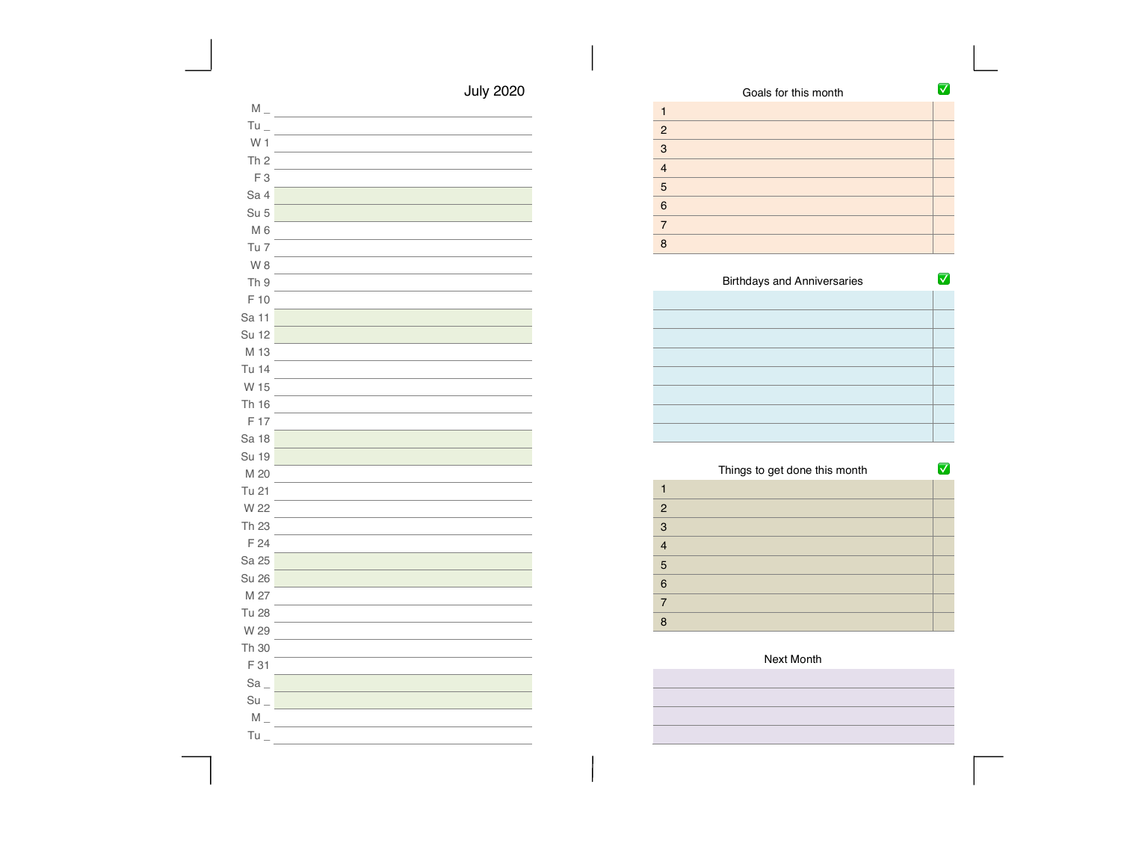| Goals for this month |  |
|----------------------|--|
|                      |  |
| $\overline{2}$       |  |
| 3                    |  |
| $\overline{4}$       |  |
| 5                    |  |
| 6                    |  |
|                      |  |
| R                    |  |

| <b>Birthdays and Anniversaries</b> |  |
|------------------------------------|--|
|                                    |  |
|                                    |  |
|                                    |  |
|                                    |  |
|                                    |  |
|                                    |  |
|                                    |  |
|                                    |  |

|                | Things to get done this month |  |
|----------------|-------------------------------|--|
|                |                               |  |
| $\overline{2}$ |                               |  |
| 3              |                               |  |
| $\overline{4}$ |                               |  |
| 5              |                               |  |
| 6              |                               |  |
| 7              |                               |  |
| 8              |                               |  |

| W 1                            |  |
|--------------------------------|--|
| Th <sub>2</sub>                |  |
| F <sub>3</sub>                 |  |
| Sa 4                           |  |
| Su <sub>5</sub>                |  |
| M <sub>6</sub>                 |  |
| Tu 7                           |  |
| W8                             |  |
| Th 9                           |  |
| F 10                           |  |
| Sa 11                          |  |
| Su 12                          |  |
| M 13                           |  |
| Tu 14                          |  |
| W 15                           |  |
| Th 16                          |  |
| F 17                           |  |
| Sa 18                          |  |
| Su 19                          |  |
| M 20                           |  |
| Tu 21                          |  |
| W 22                           |  |
| Th 23                          |  |
| F 24                           |  |
| Sa 25                          |  |
| <b>Su 26</b>                   |  |
| M 27                           |  |
| <b>Tu 28</b>                   |  |
| W 29                           |  |
| Th 30                          |  |
| F 31                           |  |
| $Sa_$                          |  |
| $Su$ <sub><math>-</math></sub> |  |
| $M_{-}$                        |  |
|                                |  |

 $M_{-}$ Tu  $\_$ 

 $Tu =$ 

July 2020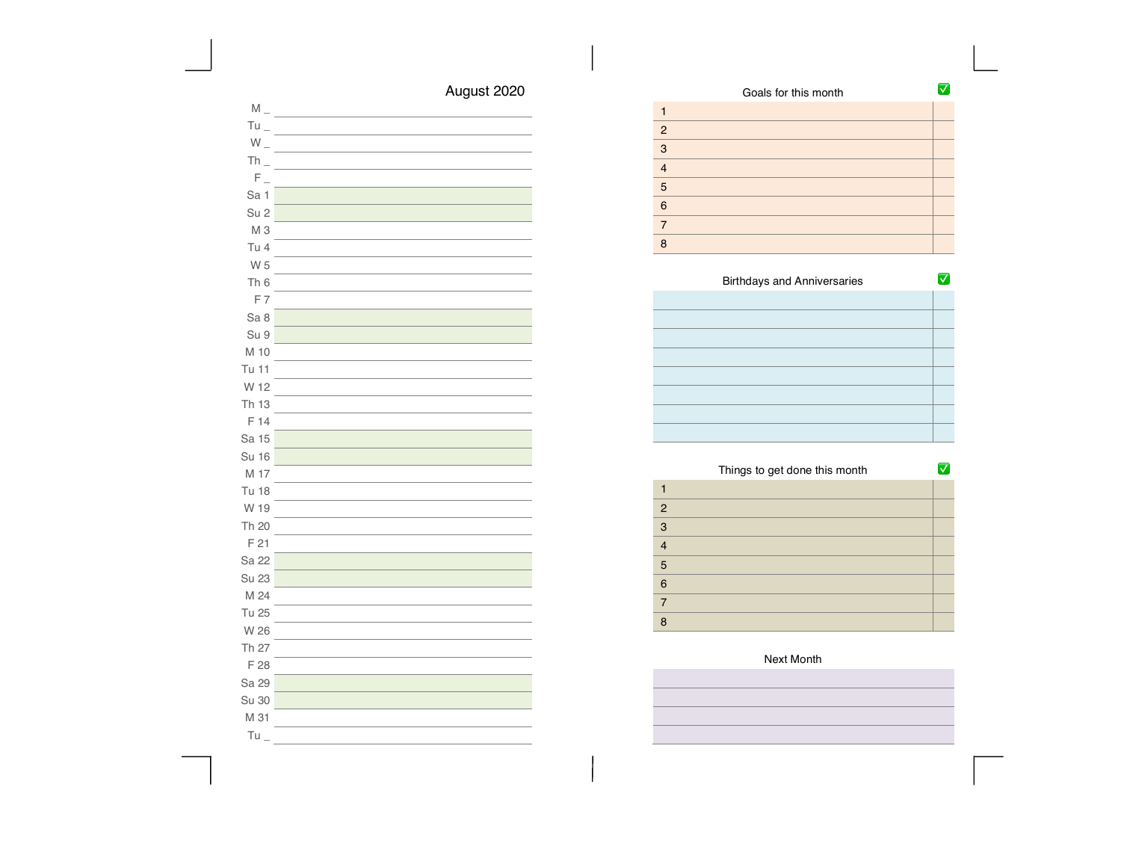| Goals for this month |  |
|----------------------|--|
|                      |  |
| 2                    |  |
| 3                    |  |
| $\overline{4}$       |  |
| 5                    |  |
| 6                    |  |
| 7                    |  |
| 8                    |  |

| <b>Birthdays and Anniversaries</b> |  |
|------------------------------------|--|
|                                    |  |
|                                    |  |
|                                    |  |
|                                    |  |
|                                    |  |
|                                    |  |
|                                    |  |
|                                    |  |

|                | Things to get done this month |  |
|----------------|-------------------------------|--|
|                |                               |  |
| $\overline{2}$ |                               |  |
| 3              |                               |  |
| $\overline{4}$ |                               |  |
| 5              |                               |  |
| 6              |                               |  |
| 7              |                               |  |
| 8              |                               |  |

| Next Month |
|------------|
|            |
|            |
|            |
|            |

# August 2020

| $M_{-}$         |  |
|-----------------|--|
| Tu              |  |
| $W_{-}$         |  |
| $Th_$           |  |
| $F_{\perp}$     |  |
| Sa 1            |  |
| Su <sub>2</sub> |  |
| M <sub>3</sub>  |  |
| Tu 4            |  |
| W 5             |  |
| Th <sub>6</sub> |  |
| F7              |  |
| Sa 8            |  |
| Su 9            |  |
| M 10            |  |
| Tu 11           |  |
| W 12            |  |
| Th 13           |  |
| F 14            |  |
| Sa 15           |  |
| Su 16           |  |
| M 17            |  |
| Tu 18           |  |
| W 19            |  |
| Th 20           |  |
| F 21            |  |
| Sa 22           |  |
| Su 23           |  |
| M 24            |  |
| Tu 25           |  |
| W 26            |  |
| Th 27           |  |
| F 28            |  |
| Sa 29           |  |
| Su 30           |  |
| M 31            |  |
| Tu              |  |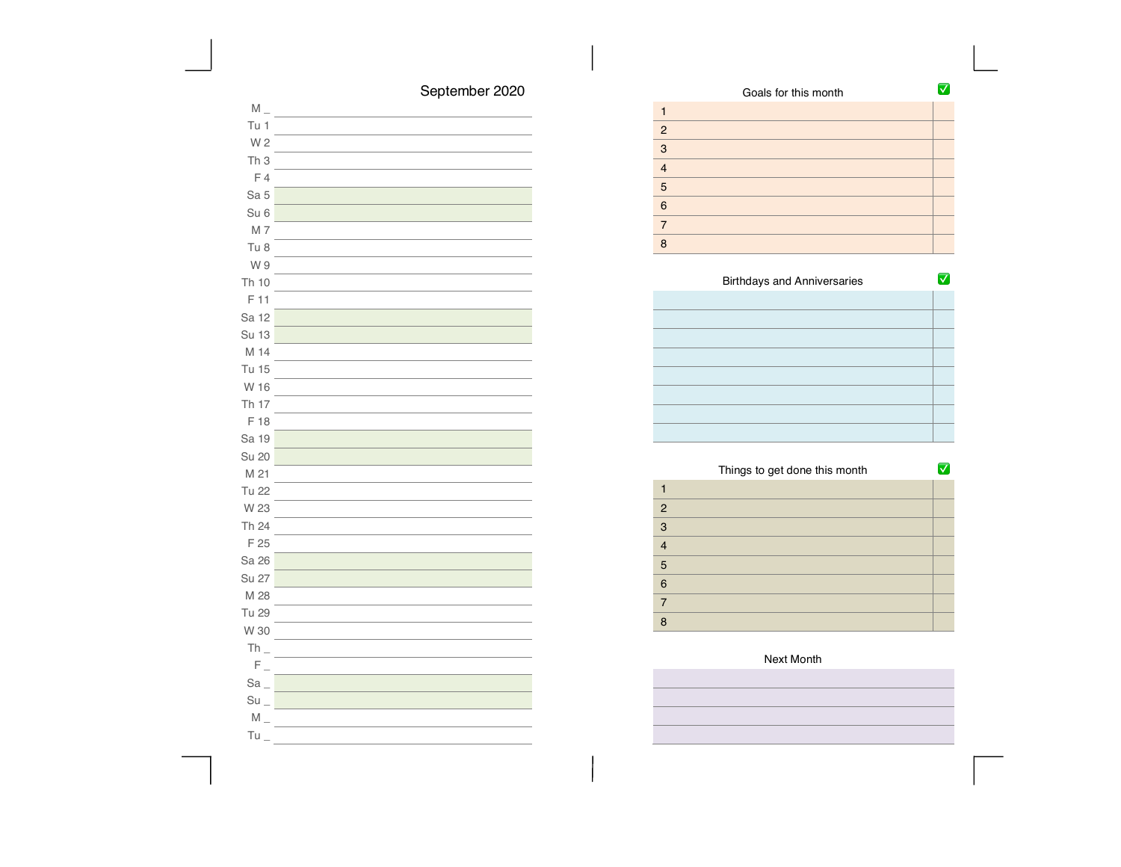# September 2020

| $M_{-}$           |  |
|-------------------|--|
| Tu 1              |  |
| W 2               |  |
| Th <sub>3</sub>   |  |
| F4                |  |
| Sa 5              |  |
| Su <sub>6</sub>   |  |
| M 7               |  |
| Tu 8              |  |
| W 9               |  |
| Th 10             |  |
| F 11              |  |
| Sa 12             |  |
| Su 13             |  |
| M 14              |  |
| <b>Tu 15</b>      |  |
| W 16              |  |
| Th 17             |  |
| F 18              |  |
| Sa 19             |  |
| Su 20             |  |
| M 21              |  |
| <b>Tu 22</b>      |  |
| W 23              |  |
| Th 24             |  |
| F 25              |  |
| Sa 26             |  |
| Su 27             |  |
| M 28              |  |
| Tu 29             |  |
| W 30              |  |
| $Th_$             |  |
| $F_{\perp}$       |  |
| $Sa_$             |  |
| $Su$ <sub>-</sub> |  |
| $M_{-}$           |  |
| Tu                |  |

|                | Goals for this month |  |
|----------------|----------------------|--|
|                |                      |  |
| $\overline{2}$ |                      |  |
| 3              |                      |  |
| $\overline{4}$ |                      |  |
| 5              |                      |  |
| 6              |                      |  |
| $\overline{7}$ |                      |  |
| R              |                      |  |
|                |                      |  |

| <b>Birthdays and Anniversaries</b> |  |
|------------------------------------|--|
|                                    |  |
|                                    |  |
|                                    |  |
|                                    |  |
|                                    |  |
|                                    |  |
|                                    |  |
|                                    |  |

|                | Things to get done this month |  |
|----------------|-------------------------------|--|
|                |                               |  |
| $\overline{2}$ |                               |  |
| 3              |                               |  |
| $\overline{4}$ |                               |  |
| 5              |                               |  |
| 6              |                               |  |
| 7              |                               |  |
| 8              |                               |  |

## Next Month

i<br>I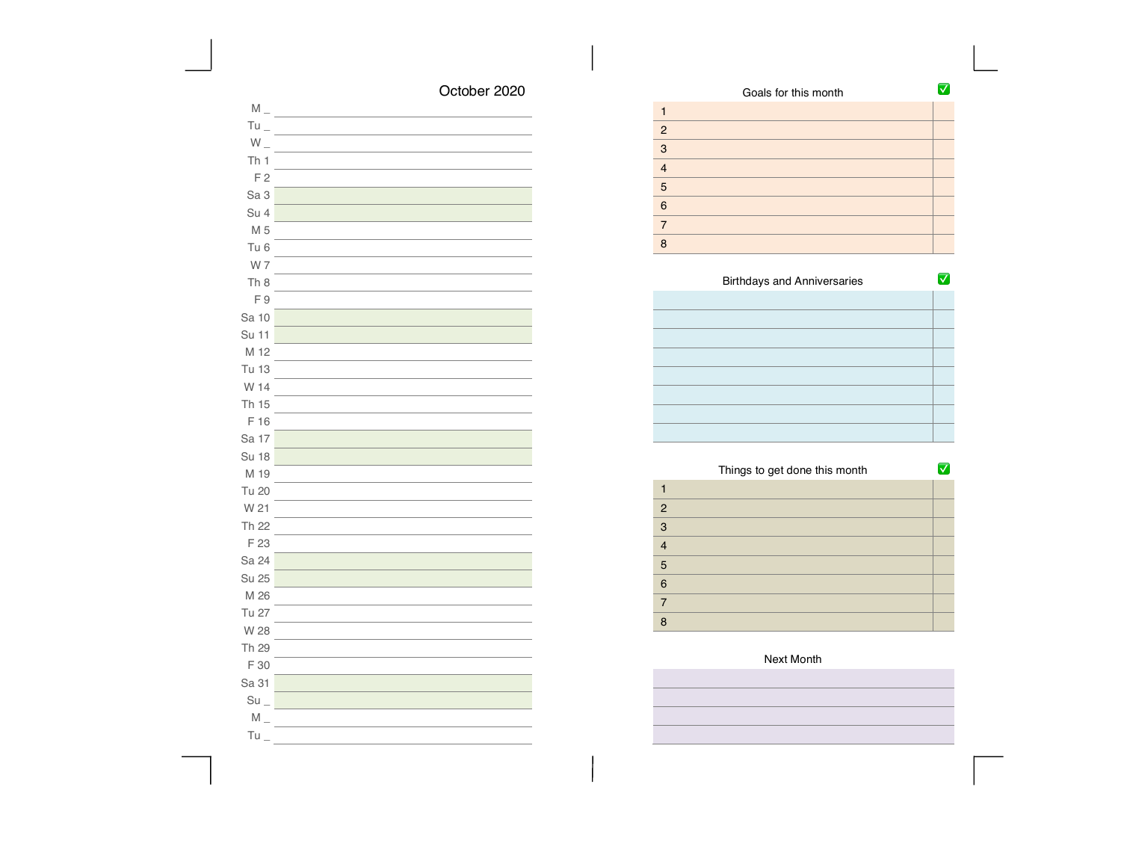# October 2020

| $M_{-}$           |  |
|-------------------|--|
| $Tu_{-}$          |  |
| $W_{-}$           |  |
| Th <sub>1</sub>   |  |
| F <sub>2</sub>    |  |
| Sa <sub>3</sub>   |  |
| Su 4              |  |
| M 5               |  |
| Tu <sub>6</sub>   |  |
| W 7               |  |
| Th <sub>8</sub>   |  |
| F9                |  |
| Sa 10             |  |
| Su 11             |  |
| M 12              |  |
| Tu 13             |  |
| W 14              |  |
| Th 15             |  |
| F 16              |  |
| Sa 17             |  |
| Su 18             |  |
| M 19              |  |
| Tu 20             |  |
| W 21              |  |
| Th 22             |  |
| F 23              |  |
| Sa 24             |  |
| Su 25             |  |
| M 26              |  |
| Tu 27             |  |
| W 28              |  |
| Th 29             |  |
| F 30              |  |
| Sa 31             |  |
| $Su$ <sub>-</sub> |  |
| $M_{-}$           |  |
| Tu                |  |

|                | Goals for this month |  |
|----------------|----------------------|--|
|                |                      |  |
| $\overline{2}$ |                      |  |
| 3              |                      |  |
| 4              |                      |  |
| 5              |                      |  |
| 6              |                      |  |
|                |                      |  |
| 8              |                      |  |

| <b>Birthdays and Anniversaries</b> |  |
|------------------------------------|--|
|                                    |  |
|                                    |  |
|                                    |  |
|                                    |  |
|                                    |  |
|                                    |  |
|                                    |  |
|                                    |  |

Ξ Ξ 

Ξ

|                | Things to get done this month |  |
|----------------|-------------------------------|--|
|                |                               |  |
| $\overline{2}$ |                               |  |
| 3              |                               |  |
| $\overline{4}$ |                               |  |
| 5              |                               |  |
| 6              |                               |  |
| 7              |                               |  |
| 8              |                               |  |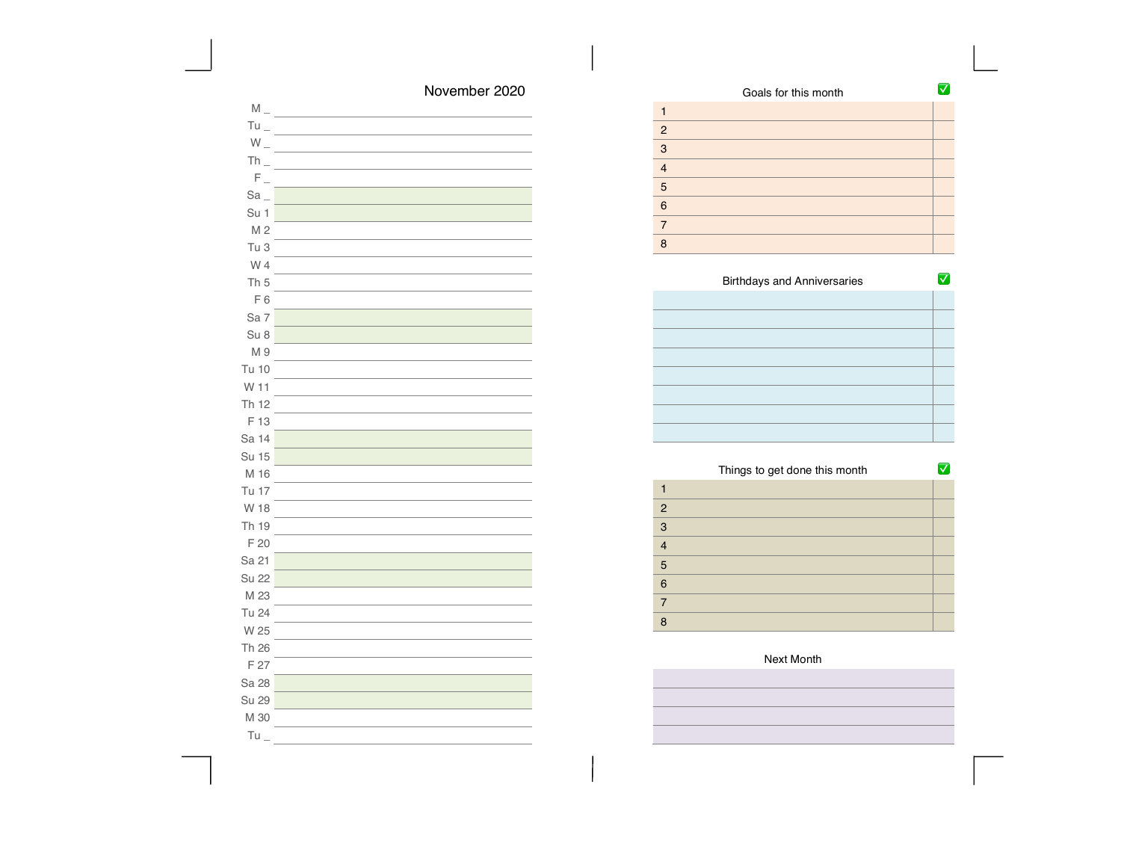| November 2020 |  |
|---------------|--|
|---------------|--|

| $\mathsf{M}\rule{0pt}{1.5ex}\hspace{0pt}\mathsf{M}\rule{0pt}{1.5ex}\hspace{0pt}\mathsf{M}$ |  |
|--------------------------------------------------------------------------------------------|--|
| $Tu_{-}$                                                                                   |  |
| $W_{-}$                                                                                    |  |
| $Th_$                                                                                      |  |
| $F_{\perp}$                                                                                |  |
| Sa                                                                                         |  |
| Su 1                                                                                       |  |
| M <sub>2</sub>                                                                             |  |
| Tu <sub>3</sub>                                                                            |  |
| W 4                                                                                        |  |
| Th <sub>5</sub>                                                                            |  |
| F6                                                                                         |  |
| Sa 7                                                                                       |  |
| Su 8                                                                                       |  |
| M 9                                                                                        |  |
| Tu 10                                                                                      |  |
| W 11                                                                                       |  |
| Th 12                                                                                      |  |
| F 13                                                                                       |  |
| Sa 14                                                                                      |  |
| Su 15                                                                                      |  |
| M 16                                                                                       |  |
| Tu 17                                                                                      |  |
| W 18                                                                                       |  |
| Th 19                                                                                      |  |
| F 20                                                                                       |  |
| Sa 21                                                                                      |  |
| Su 22                                                                                      |  |
| M 23                                                                                       |  |
| Tu 24                                                                                      |  |
| W 25                                                                                       |  |
| Th 26                                                                                      |  |
| F 27                                                                                       |  |
| Sa 28                                                                                      |  |
| Su 29                                                                                      |  |
| M 30                                                                                       |  |
| Tu                                                                                         |  |

| Goals for this month    |  |
|-------------------------|--|
|                         |  |
| $\overline{2}$          |  |
| 3                       |  |
| $\overline{\mathbf{A}}$ |  |
| 5                       |  |
| 6                       |  |
| 7                       |  |
| R                       |  |

| <b>Birthdays and Anniversaries</b> |  |
|------------------------------------|--|
|                                    |  |
|                                    |  |
|                                    |  |
|                                    |  |
|                                    |  |
|                                    |  |
|                                    |  |
|                                    |  |

|                | Things to get done this month |  |
|----------------|-------------------------------|--|
|                |                               |  |
| $\overline{2}$ |                               |  |
| 3              |                               |  |
| $\overline{4}$ |                               |  |
| 5              |                               |  |
| 6              |                               |  |
| 7              |                               |  |
| 8              |                               |  |